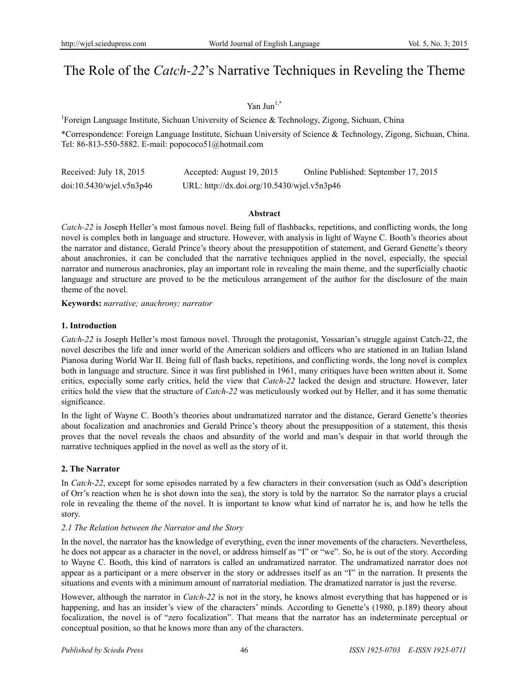# The Role of the *Catch-22*'s Narrative Techniques in Reveling the Theme

# Yan Jun $1,^*$

<sup>1</sup>Foreign Language Institute, Sichuan University of Science & Technology, Zigong, Sichuan, China

\*Correspondence: Foreign Language Institute, Sichuan University of Science & Technology, Zigong, Sichuan, China. Tel: 86-813-550-5882. E-mail: popococo51@hotmail.com

| Received: July 18, 2015     | Accepted: August 19, 2015                   | Online Published: September 17, 2015 |
|-----------------------------|---------------------------------------------|--------------------------------------|
| $doi:10.5430/w$ jel.v5n3p46 | URL: http://dx.doi.org/10.5430/wjel.v5n3p46 |                                      |

#### **Abstract**

*Catch-22* is Joseph Heller's most famous novel. Being full of flashbacks, repetitions, and conflicting words, the long novel is complex both in language and structure. However, with analysis in light of Wayne C. Booth's theories about the narrator and distance, Gerald Prince's theory about the presuppotition of statement, and Gerard Genette's theory about anachronies, it can be concluded that the narrative techniques applied in the novel, especially, the special narrator and numerous anachronies, play an important role in revealing the main theme, and the superficially chaotic language and structure are proved to be the meticulous arrangement of the author for the disclosure of the main theme of the novel.

**Keywords:** *narrative; anachrony; narrator* 

### **1. Introduction**

*Catch-22* is Joseph Heller's most famous novel. Through the protagonist, Yossarian's struggle against Catch-22, the novel describes the life and inner world of the American soldiers and officers who are stationed in an Italian Island Pianosa during World War II. Being full of flash backs, repetitions, and conflicting words, the long novel is complex both in language and structure. Since it was first published in 1961, many critiques have been written about it. Some critics, especially some early critics, held the view that *Catch-22* lacked the design and structure. However, later critics hold the view that the structure of *Catch-22* was meticulously worked out by Heller, and it has some thematic significance.

In the light of Wayne C. Booth's theories about undramatized narrator and the distance, Gerard Genette's theories about focalization and anachronies and Gerald Prince's theory about the presupposition of a statement, this thesis proves that the novel reveals the chaos and absurdity of the world and man's despair in that world through the narrative techniques applied in the novel as well as the story of it.

### **2. The Narrator**

In *Catch-22*, except for some episodes narrated by a few characters in their conversation (such as Odd's description of Orr's reaction when he is shot down into the sea), the story is told by the narrator. So the narrator plays a crucial role in revealing the theme of the novel. It is important to know what kind of narrator he is, and how he tells the story.

### *2.1 The Relation between the Narrator and the Story*

In the novel, the narrator has the knowledge of everything, even the inner movements of the characters. Nevertheless, he does not appear as a character in the novel, or address himself as "I" or "we". So, he is out of the story. According to Wayne C. Booth, this kind of narrators is called an undramatized narrator. The undramatized narrator does not appear as a participant or a mere observer in the story or addresses itself as an "I" in the narration. It presents the situations and events with a minimum amount of narratorial mediation. The dramatized narrator is just the reverse.

However, although the narrator in *Catch-22* is not in the story, he knows almost everything that has happened or is happening, and has an insider's view of the characters' minds. According to Genette's (1980, p.189) theory about focalization, the novel is of "zero focalization". That means that the narrator has an indeterminate perceptual or conceptual position, so that he knows more than any of the characters.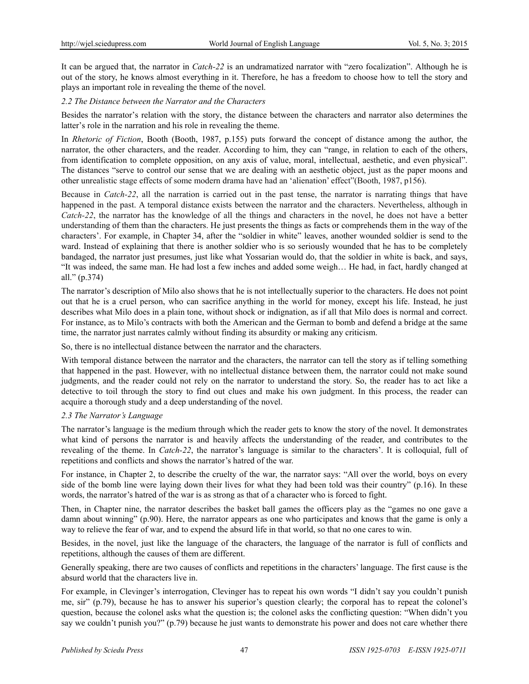It can be argued that, the narrator in *Catch-22* is an undramatized narrator with "zero focalization". Although he is out of the story, he knows almost everything in it. Therefore, he has a freedom to choose how to tell the story and plays an important role in revealing the theme of the novel.

#### *2.2 The Distance between the Narrator and the Characters*

Besides the narrator's relation with the story, the distance between the characters and narrator also determines the latter's role in the narration and his role in revealing the theme.

In *Rhetoric of Fiction*, Booth (Booth, 1987, p.155) puts forward the concept of distance among the author, the narrator, the other characters, and the reader. According to him, they can "range, in relation to each of the others, from identification to complete opposition, on any axis of value, moral, intellectual, aesthetic, and even physical". The distances "serve to control our sense that we are dealing with an aesthetic object, just as the paper moons and other unrealistic stage effects of some modern drama have had an 'alienation' effect"(Booth, 1987, p156).

Because in *Catch-22*, all the narration is carried out in the past tense, the narrator is narrating things that have happened in the past. A temporal distance exists between the narrator and the characters. Nevertheless, although in *Catch-22*, the narrator has the knowledge of all the things and characters in the novel, he does not have a better understanding of them than the characters. He just presents the things as facts or comprehends them in the way of the characters'. For example, in Chapter 34, after the "soldier in white" leaves, another wounded soldier is send to the ward. Instead of explaining that there is another soldier who is so seriously wounded that he has to be completely bandaged, the narrator just presumes, just like what Yossarian would do, that the soldier in white is back, and says, "It was indeed, the same man. He had lost a few inches and added some weigh… He had, in fact, hardly changed at all." (p.374)

The narrator's description of Milo also shows that he is not intellectually superior to the characters. He does not point out that he is a cruel person, who can sacrifice anything in the world for money, except his life. Instead, he just describes what Milo does in a plain tone, without shock or indignation, as if all that Milo does is normal and correct. For instance, as to Milo's contracts with both the American and the German to bomb and defend a bridge at the same time, the narrator just narrates calmly without finding its absurdity or making any criticism.

So, there is no intellectual distance between the narrator and the characters.

With temporal distance between the narrator and the characters, the narrator can tell the story as if telling something that happened in the past. However, with no intellectual distance between them, the narrator could not make sound judgments, and the reader could not rely on the narrator to understand the story. So, the reader has to act like a detective to toil through the story to find out clues and make his own judgment. In this process, the reader can acquire a thorough study and a deep understanding of the novel.

### *2.3 The Narrator's Language*

The narrator's language is the medium through which the reader gets to know the story of the novel. It demonstrates what kind of persons the narrator is and heavily affects the understanding of the reader, and contributes to the revealing of the theme. In *Catch-22*, the narrator's language is similar to the characters'. It is colloquial, full of repetitions and conflicts and shows the narrator's hatred of the war.

For instance, in Chapter 2, to describe the cruelty of the war, the narrator says: "All over the world, boys on every side of the bomb line were laying down their lives for what they had been told was their country" (p.16). In these words, the narrator's hatred of the war is as strong as that of a character who is forced to fight.

Then, in Chapter nine, the narrator describes the basket ball games the officers play as the "games no one gave a damn about winning" (p.90). Here, the narrator appears as one who participates and knows that the game is only a way to relieve the fear of war, and to expend the absurd life in that world, so that no one cares to win.

Besides, in the novel, just like the language of the characters, the language of the narrator is full of conflicts and repetitions, although the causes of them are different.

Generally speaking, there are two causes of conflicts and repetitions in the characters' language. The first cause is the absurd world that the characters live in.

For example, in Clevinger's interrogation, Clevinger has to repeat his own words "I didn't say you couldn't punish me, sir" (p.79), because he has to answer his superior's question clearly; the corporal has to repeat the colonel's question, because the colonel asks what the question is; the colonel asks the conflicting question: "When didn't you say we couldn't punish you?" (p.79) because he just wants to demonstrate his power and does not care whether there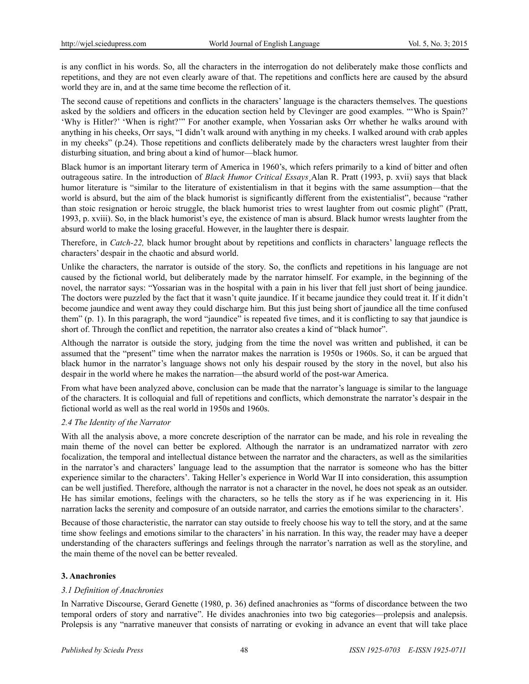is any conflict in his words. So, all the characters in the interrogation do not deliberately make those conflicts and repetitions, and they are not even clearly aware of that. The repetitions and conflicts here are caused by the absurd world they are in, and at the same time become the reflection of it.

The second cause of repetitions and conflicts in the characters' language is the characters themselves. The questions asked by the soldiers and officers in the education section held by Clevinger are good examples. "'Who is Spain?' 'Why is Hitler?' 'When is right?'" For another example, when Yossarian asks Orr whether he walks around with anything in his cheeks, Orr says, "I didn't walk around with anything in my cheeks. I walked around with crab apples in my cheeks" (p.24). Those repetitions and conflicts deliberately made by the characters wrest laughter from their disturbing situation, and bring about a kind of humor—black humor.

Black humor is an important literary term of America in 1960's, which refers primarily to a kind of bitter and often outrageous satire. In the introduction of *Black Humor Critical Essays*¸Alan R. Pratt (1993, p. xvii) says that black humor literature is "similar to the literature of existentialism in that it begins with the same assumption—that the world is absurd, but the aim of the black humorist is significantly different from the existentialist", because "rather than stoic resignation or heroic struggle, the black humorist tries to wrest laughter from out cosmic plight" (Pratt, 1993, p. xviii). So, in the black humorist's eye, the existence of man is absurd. Black humor wrests laughter from the absurd world to make the losing graceful. However, in the laughter there is despair.

Therefore, in *Catch-22,* black humor brought about by repetitions and conflicts in characters' language reflects the characters' despair in the chaotic and absurd world.

Unlike the characters, the narrator is outside of the story. So, the conflicts and repetitions in his language are not caused by the fictional world, but deliberately made by the narrator himself. For example, in the beginning of the novel, the narrator says: "Yossarian was in the hospital with a pain in his liver that fell just short of being jaundice. The doctors were puzzled by the fact that it wasn't quite jaundice. If it became jaundice they could treat it. If it didn't become jaundice and went away they could discharge him. But this just being short of jaundice all the time confused them" (p. 1). In this paragraph, the word "jaundice" is repeated five times, and it is conflicting to say that jaundice is short of. Through the conflict and repetition, the narrator also creates a kind of "black humor".

Although the narrator is outside the story, judging from the time the novel was written and published, it can be assumed that the "present" time when the narrator makes the narration is 1950s or 1960s. So, it can be argued that black humor in the narrator's language shows not only his despair roused by the story in the novel, but also his despair in the world where he makes the narration—the absurd world of the post-war America.

From what have been analyzed above, conclusion can be made that the narrator's language is similar to the language of the characters. It is colloquial and full of repetitions and conflicts, which demonstrate the narrator's despair in the fictional world as well as the real world in 1950s and 1960s.

### *2.4 The Identity of the Narrator*

With all the analysis above, a more concrete description of the narrator can be made, and his role in revealing the main theme of the novel can better be explored. Although the narrator is an undramatized narrator with zero focalization, the temporal and intellectual distance between the narrator and the characters, as well as the similarities in the narrator's and characters' language lead to the assumption that the narrator is someone who has the bitter experience similar to the characters'. Taking Heller's experience in World War II into consideration, this assumption can be well justified. Therefore, although the narrator is not a character in the novel, he does not speak as an outsider. He has similar emotions, feelings with the characters, so he tells the story as if he was experiencing in it. His narration lacks the serenity and composure of an outside narrator, and carries the emotions similar to the characters'.

Because of those characteristic, the narrator can stay outside to freely choose his way to tell the story, and at the same time show feelings and emotions similar to the characters' in his narration. In this way, the reader may have a deeper understanding of the characters sufferings and feelings through the narrator's narration as well as the storyline, and the main theme of the novel can be better revealed.

### **3. Anachronies**

### *3.1 Definition of Anachronies*

In Narrative Discourse, Gerard Genette (1980, p. 36) defined anachronies as "forms of discordance between the two temporal orders of story and narrative". He divides anachronies into two big categories—prolepsis and analepsis. Prolepsis is any "narrative maneuver that consists of narrating or evoking in advance an event that will take place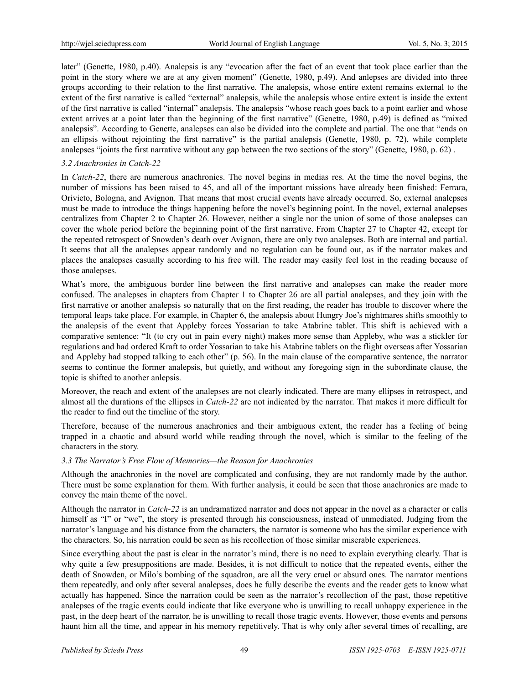later" (Genette, 1980, p.40). Analepsis is any "evocation after the fact of an event that took place earlier than the point in the story where we are at any given moment" (Genette, 1980, p.49). And anlepses are divided into three groups according to their relation to the first narrative. The analepsis, whose entire extent remains external to the extent of the first narrative is called "external" analepsis, while the analepsis whose entire extent is inside the extent of the first narrative is called "internal" analepsis. The analepsis "whose reach goes back to a point earlier and whose extent arrives at a point later than the beginning of the first narrative" (Genette, 1980, p.49) is defined as "mixed analepsis". According to Genette, analepses can also be divided into the complete and partial. The one that "ends on an ellipsis without rejointing the first narrative" is the partial analepsis (Genette, 1980, p. 72), while complete analepses "joints the first narrative without any gap between the two sections of the story" (Genette, 1980, p. 62) .

## *3.2 Anachronies in Catch-22*

In *Catch-22*, there are numerous anachronies. The novel begins in medias res. At the time the novel begins, the number of missions has been raised to 45, and all of the important missions have already been finished: Ferrara, Orivieto, Bologna, and Avignon. That means that most crucial events have already occurred. So, external analepses must be made to introduce the things happening before the novel's beginning point. In the novel, external analepses centralizes from Chapter 2 to Chapter 26. However, neither a single nor the union of some of those analepses can cover the whole period before the beginning point of the first narrative. From Chapter 27 to Chapter 42, except for the repeated retrospect of Snowden's death over Avignon, there are only two analepses. Both are internal and partial. It seems that all the analepses appear randomly and no regulation can be found out, as if the narrator makes and places the analepses casually according to his free will. The reader may easily feel lost in the reading because of those analepses.

What's more, the ambiguous border line between the first narrative and analepses can make the reader more confused. The analepses in chapters from Chapter 1 to Chapter 26 are all partial analepses, and they join with the first narrative or another analepsis so naturally that on the first reading, the reader has trouble to discover where the temporal leaps take place. For example, in Chapter 6, the analepsis about Hungry Joe's nightmares shifts smoothly to the analepsis of the event that Appleby forces Yossarian to take Atabrine tablet. This shift is achieved with a comparative sentence: "It (to cry out in pain every night) makes more sense than Appleby, who was a stickler for regulations and had ordered Kraft to order Yossarian to take his Atabrine tablets on the flight overseas after Yossarian and Appleby had stopped talking to each other" (p. 56). In the main clause of the comparative sentence, the narrator seems to continue the former analepsis, but quietly, and without any foregoing sign in the subordinate clause, the topic is shifted to another anlepsis.

Moreover, the reach and extent of the analepses are not clearly indicated. There are many ellipses in retrospect, and almost all the durations of the ellipses in *Catch-22* are not indicated by the narrator. That makes it more difficult for the reader to find out the timeline of the story.

Therefore, because of the numerous anachronies and their ambiguous extent, the reader has a feeling of being trapped in a chaotic and absurd world while reading through the novel, which is similar to the feeling of the characters in the story.

### *3.3 The Narrator's Free Flow of Memories—the Reason for Anachronies*

Although the anachronies in the novel are complicated and confusing, they are not randomly made by the author. There must be some explanation for them. With further analysis, it could be seen that those anachronies are made to convey the main theme of the novel.

Although the narrator in *Catch-22* is an undramatized narrator and does not appear in the novel as a character or calls himself as "I" or "we", the story is presented through his consciousness, instead of unmediated. Judging from the narrator's language and his distance from the characters, the narrator is someone who has the similar experience with the characters. So, his narration could be seen as his recollection of those similar miserable experiences.

Since everything about the past is clear in the narrator's mind, there is no need to explain everything clearly. That is why quite a few presuppositions are made. Besides, it is not difficult to notice that the repeated events, either the death of Snowden, or Milo's bombing of the squadron, are all the very cruel or absurd ones. The narrator mentions them repeatedly, and only after several analepses, does he fully describe the events and the reader gets to know what actually has happened. Since the narration could be seen as the narrator's recollection of the past, those repetitive analepses of the tragic events could indicate that like everyone who is unwilling to recall unhappy experience in the past, in the deep heart of the narrator, he is unwilling to recall those tragic events. However, those events and persons haunt him all the time, and appear in his memory repetitively. That is why only after several times of recalling, are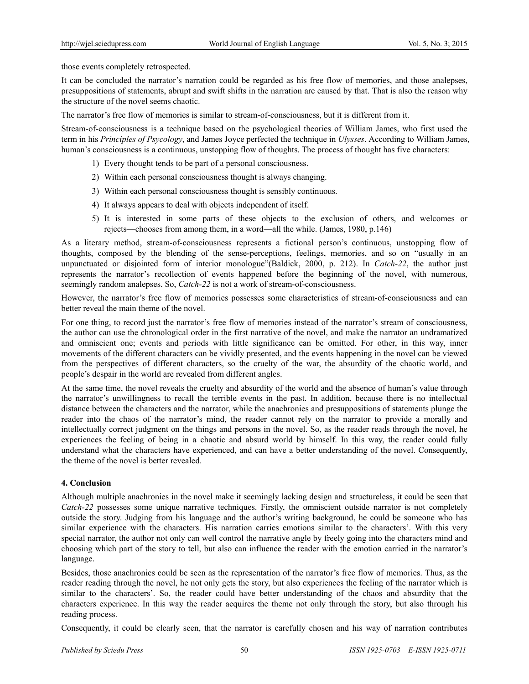those events completely retrospected.

It can be concluded the narrator's narration could be regarded as his free flow of memories, and those analepses, presuppositions of statements, abrupt and swift shifts in the narration are caused by that. That is also the reason why the structure of the novel seems chaotic.

The narrator's free flow of memories is similar to stream-of-consciousness, but it is different from it.

Stream-of-consciousness is a technique based on the psychological theories of William James, who first used the term in his *Principles of Psycology*, and James Joyce perfected the technique in *Ulysses*. According to William James, human's consciousness is a continuous, unstopping flow of thoughts. The process of thought has five characters:

- 1) Every thought tends to be part of a personal consciousness.
- 2) Within each personal consciousness thought is always changing.
- 3) Within each personal consciousness thought is sensibly continuous.
- 4) It always appears to deal with objects independent of itself.
- 5) It is interested in some parts of these objects to the exclusion of others, and welcomes or rejects—chooses from among them, in a word—all the while. (James, 1980, p.146)

As a literary method, stream-of-consciousness represents a fictional person's continuous, unstopping flow of thoughts, composed by the blending of the sense-perceptions, feelings, memories, and so on "usually in an unpunctuated or disjointed form of interior monologue"(Baldick, 2000, p. 212). In *Catch-22*, the author just represents the narrator's recollection of events happened before the beginning of the novel, with numerous, seemingly random analepses. So, *Catch-22* is not a work of stream-of-consciousness.

However, the narrator's free flow of memories possesses some characteristics of stream-of-consciousness and can better reveal the main theme of the novel.

For one thing, to record just the narrator's free flow of memories instead of the narrator's stream of consciousness, the author can use the chronological order in the first narrative of the novel, and make the narrator an undramatized and omniscient one; events and periods with little significance can be omitted. For other, in this way, inner movements of the different characters can be vividly presented, and the events happening in the novel can be viewed from the perspectives of different characters, so the cruelty of the war, the absurdity of the chaotic world, and people's despair in the world are revealed from different angles.

At the same time, the novel reveals the cruelty and absurdity of the world and the absence of human's value through the narrator's unwillingness to recall the terrible events in the past. In addition, because there is no intellectual distance between the characters and the narrator, while the anachronies and presuppositions of statements plunge the reader into the chaos of the narrator's mind, the reader cannot rely on the narrator to provide a morally and intellectually correct judgment on the things and persons in the novel. So, as the reader reads through the novel, he experiences the feeling of being in a chaotic and absurd world by himself. In this way, the reader could fully understand what the characters have experienced, and can have a better understanding of the novel. Consequently, the theme of the novel is better revealed.

### **4. Conclusion**

Although multiple anachronies in the novel make it seemingly lacking design and structureless, it could be seen that *Catch-22* possesses some unique narrative techniques. Firstly, the omniscient outside narrator is not completely outside the story. Judging from his language and the author's writing background, he could be someone who has similar experience with the characters. His narration carries emotions similar to the characters'. With this very special narrator, the author not only can well control the narrative angle by freely going into the characters mind and choosing which part of the story to tell, but also can influence the reader with the emotion carried in the narrator's language.

Besides, those anachronies could be seen as the representation of the narrator's free flow of memories. Thus, as the reader reading through the novel, he not only gets the story, but also experiences the feeling of the narrator which is similar to the characters'. So, the reader could have better understanding of the chaos and absurdity that the characters experience. In this way the reader acquires the theme not only through the story, but also through his reading process.

Consequently, it could be clearly seen, that the narrator is carefully chosen and his way of narration contributes